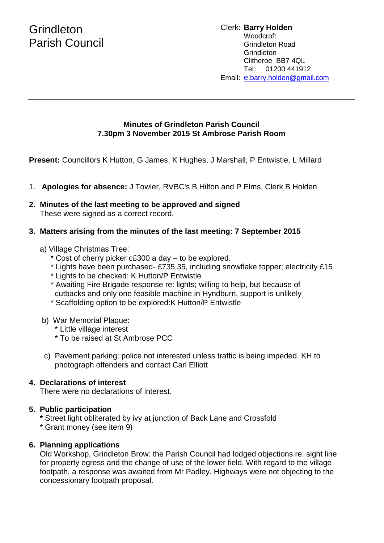# **Grindleton** Parish Council

## **Minutes of Grindleton Parish Council 7.30pm 3 November 2015 St Ambrose Parish Room**

**Present:** Councillors K Hutton, G James, K Hughes, J Marshall, P Entwistle, L Millard

- 1. **Apologies for absence:** J Towler, RVBC's B Hilton and P Elms, Clerk B Holden
- **2. Minutes of the last meeting to be approved and signed** These were signed as a correct record.

#### **3. Matters arising from the minutes of the last meeting: 7 September 2015**

- a) Village Christmas Tree:
	- \* Cost of cherry picker c£300 a day to be explored.
	- \* Lights have been purchased- £735.35, including snowflake topper; electricity £15
	- \* Lights to be checked: K Hutton/P Entwistle
	- \* Awaiting Fire Brigade response re: lights; willing to help, but because of cutbacks and only one feasible machine in Hyndburn, support is unlikely
	- \* Scaffolding option to be explored:K Hutton/P Entwistle
- b) War Memorial Plaque:
	- \* Little village interest
	- \* To be raised at St Ambrose PCC
- c) Pavement parking: police not interested unless traffic is being impeded. KH to photograph offenders and contact Carl Elliott

## **4. Declarations of interest**

There were no declarations of interest.

## **5. Public participation**

- **\*** Street light obliterated by ivy at junction of Back Lane and Crossfold
- \* Grant money (see item 9)

## **6. Planning applications**

Old Workshop, Grindleton Brow: the Parish Council had lodged objections re: sight line for property egress and the change of use of the lower field. With regard to the village footpath, a response was awaited from Mr Padley. Highways were not objecting to the concessionary footpath proposal.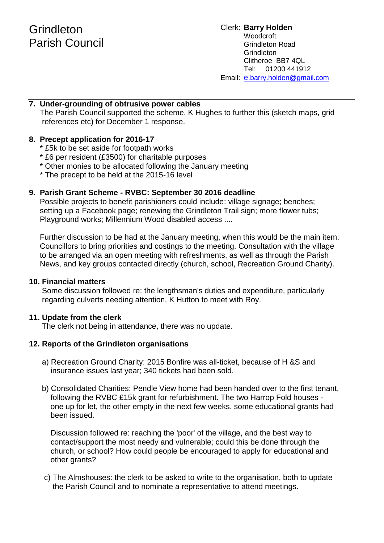#### **7. Under-grounding of obtrusive power cables**

 The Parish Council supported the scheme. K Hughes to further this (sketch maps, grid references etc) for December 1 response.

#### **8. Precept application for 2016-17**

- \* £5k to be set aside for footpath works
- \* £6 per resident (£3500) for charitable purposes
- \* Other monies to be allocated following the January meeting
- \* The precept to be held at the 2015-16 level

#### **9. Parish Grant Scheme - RVBC: September 30 2016 deadline**

 Possible projects to benefit parishioners could include: village signage; benches; setting up a Facebook page; renewing the Grindleton Trail sign; more flower tubs; Playground works; Millennium Wood disabled access ....

 Further discussion to be had at the January meeting, when this would be the main item. Councillors to bring priorities and costings to the meeting. Consultation with the village to be arranged via an open meeting with refreshments, as well as through the Parish News, and key groups contacted directly (church, school, Recreation Ground Charity).

#### **10. Financial matters**

Some discussion followed re: the lengthsman's duties and expenditure, particularly regarding culverts needing attention. K Hutton to meet with Roy.

#### **11. Update from the clerk**

The clerk not being in attendance, there was no update.

#### **12. Reports of the Grindleton organisations**

- a) Recreation Ground Charity: 2015 Bonfire was all-ticket, because of H &S and insurance issues last year; 340 tickets had been sold.
- b) Consolidated Charities: Pendle View home had been handed over to the first tenant, following the RVBC £15k grant for refurbishment. The two Harrop Fold houses one up for let, the other empty in the next few weeks. some educational grants had been issued.

 Discussion followed re: reaching the 'poor' of the village, and the best way to contact/support the most needy and vulnerable; could this be done through the church, or school? How could people be encouraged to apply for educational and other grants?

 c) The Almshouses: the clerk to be asked to write to the organisation, both to update the Parish Council and to nominate a representative to attend meetings.